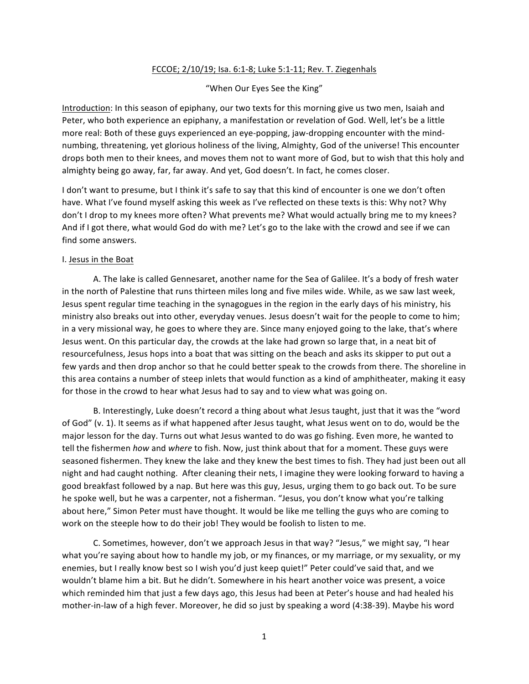## FCCOE; 2/10/19; Isa. 6:1-8; Luke 5:1-11; Rev. T. Ziegenhals

## "When Our Eyes See the King"

Introduction: In this season of epiphany, our two texts for this morning give us two men, Isaiah and Peter, who both experience an epiphany, a manifestation or revelation of God. Well, let's be a little more real: Both of these guys experienced an eye-popping, jaw-dropping encounter with the mindnumbing, threatening, yet glorious holiness of the living, Almighty, God of the universe! This encounter drops both men to their knees, and moves them not to want more of God, but to wish that this holy and almighty being go away, far, far away. And yet, God doesn't. In fact, he comes closer.

I don't want to presume, but I think it's safe to say that this kind of encounter is one we don't often have. What I've found myself asking this week as I've reflected on these texts is this: Why not? Why don't I drop to my knees more often? What prevents me? What would actually bring me to my knees? And if I got there, what would God do with me? Let's go to the lake with the crowd and see if we can find some answers.

#### I. Jesus in the Boat

A. The lake is called Gennesaret, another name for the Sea of Galilee. It's a body of fresh water in the north of Palestine that runs thirteen miles long and five miles wide. While, as we saw last week, Jesus spent regular time teaching in the synagogues in the region in the early days of his ministry, his ministry also breaks out into other, everyday venues. Jesus doesn't wait for the people to come to him; in a very missional way, he goes to where they are. Since many enjoyed going to the lake, that's where Jesus went. On this particular day, the crowds at the lake had grown so large that, in a neat bit of resourcefulness, Jesus hops into a boat that was sitting on the beach and asks its skipper to put out a few yards and then drop anchor so that he could better speak to the crowds from there. The shoreline in this area contains a number of steep inlets that would function as a kind of amphitheater, making it easy for those in the crowd to hear what Jesus had to say and to view what was going on.

B. Interestingly, Luke doesn't record a thing about what Jesus taught, just that it was the "word of God" (v. 1). It seems as if what happened after Jesus taught, what Jesus went on to do, would be the major lesson for the day. Turns out what Jesus wanted to do was go fishing. Even more, he wanted to tell the fishermen *how* and *where* to fish. Now, just think about that for a moment. These guys were seasoned fishermen. They knew the lake and they knew the best times to fish. They had just been out all night and had caught nothing. After cleaning their nets, I imagine they were looking forward to having a good breakfast followed by a nap. But here was this guy, Jesus, urging them to go back out. To be sure he spoke well, but he was a carpenter, not a fisherman. "Jesus, you don't know what you're talking about here," Simon Peter must have thought. It would be like me telling the guys who are coming to work on the steeple how to do their job! They would be foolish to listen to me.

C. Sometimes, however, don't we approach Jesus in that way? "Jesus," we might say, "I hear what you're saying about how to handle my job, or my finances, or my marriage, or my sexuality, or my enemies, but I really know best so I wish you'd just keep quiet!" Peter could've said that, and we wouldn't blame him a bit. But he didn't. Somewhere in his heart another voice was present, a voice which reminded him that just a few days ago, this Jesus had been at Peter's house and had healed his mother-in-law of a high fever. Moreover, he did so just by speaking a word (4:38-39). Maybe his word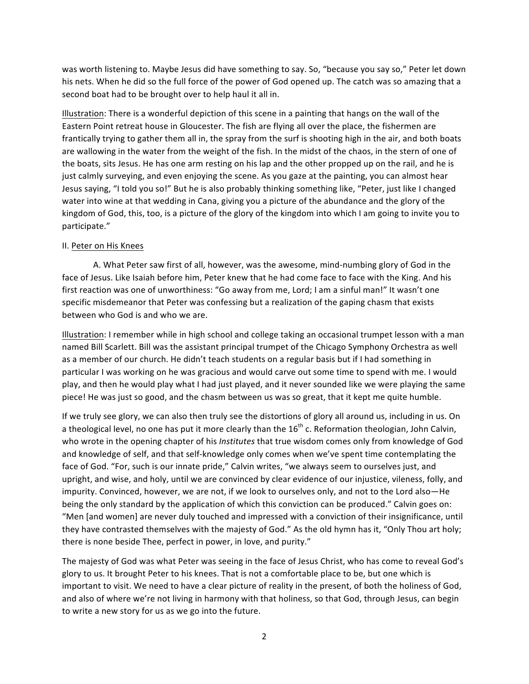was worth listening to. Maybe Jesus did have something to say. So, "because you say so," Peter let down his nets. When he did so the full force of the power of God opened up. The catch was so amazing that a second boat had to be brought over to help haul it all in.

Illustration: There is a wonderful depiction of this scene in a painting that hangs on the wall of the Eastern Point retreat house in Gloucester. The fish are flying all over the place, the fishermen are frantically trying to gather them all in, the spray from the surf is shooting high in the air, and both boats are wallowing in the water from the weight of the fish. In the midst of the chaos, in the stern of one of the boats, sits Jesus. He has one arm resting on his lap and the other propped up on the rail, and he is just calmly surveying, and even enjoying the scene. As you gaze at the painting, you can almost hear Jesus saying, "I told you so!" But he is also probably thinking something like, "Peter, just like I changed water into wine at that wedding in Cana, giving you a picture of the abundance and the glory of the kingdom of God, this, too, is a picture of the glory of the kingdom into which I am going to invite you to participate." 

# II. Peter on His Knees

A. What Peter saw first of all, however, was the awesome, mind-numbing glory of God in the face of Jesus. Like Isaiah before him, Peter knew that he had come face to face with the King. And his first reaction was one of unworthiness: "Go away from me, Lord; I am a sinful man!" It wasn't one specific misdemeanor that Peter was confessing but a realization of the gaping chasm that exists between who God is and who we are.

Illustration: I remember while in high school and college taking an occasional trumpet lesson with a man named Bill Scarlett. Bill was the assistant principal trumpet of the Chicago Symphony Orchestra as well as a member of our church. He didn't teach students on a regular basis but if I had something in particular I was working on he was gracious and would carve out some time to spend with me. I would play, and then he would play what I had just played, and it never sounded like we were playing the same piece! He was just so good, and the chasm between us was so great, that it kept me quite humble.

If we truly see glory, we can also then truly see the distortions of glory all around us, including in us. On a theological level, no one has put it more clearly than the  $16<sup>th</sup>$  c. Reformation theologian, John Calvin, who wrote in the opening chapter of his *Institutes* that true wisdom comes only from knowledge of God and knowledge of self, and that self-knowledge only comes when we've spent time contemplating the face of God. "For, such is our innate pride," Calvin writes, "we always seem to ourselves just, and upright, and wise, and holy, until we are convinced by clear evidence of our injustice, vileness, folly, and impurity. Convinced, however, we are not, if we look to ourselves only, and not to the Lord also—He being the only standard by the application of which this conviction can be produced." Calvin goes on: "Men [and women] are never duly touched and impressed with a conviction of their insignificance, until they have contrasted themselves with the majesty of God." As the old hymn has it, "Only Thou art holy; there is none beside Thee, perfect in power, in love, and purity."

The majesty of God was what Peter was seeing in the face of Jesus Christ, who has come to reveal God's glory to us. It brought Peter to his knees. That is not a comfortable place to be, but one which is important to visit. We need to have a clear picture of reality in the present, of both the holiness of God, and also of where we're not living in harmony with that holiness, so that God, through Jesus, can begin to write a new story for us as we go into the future.